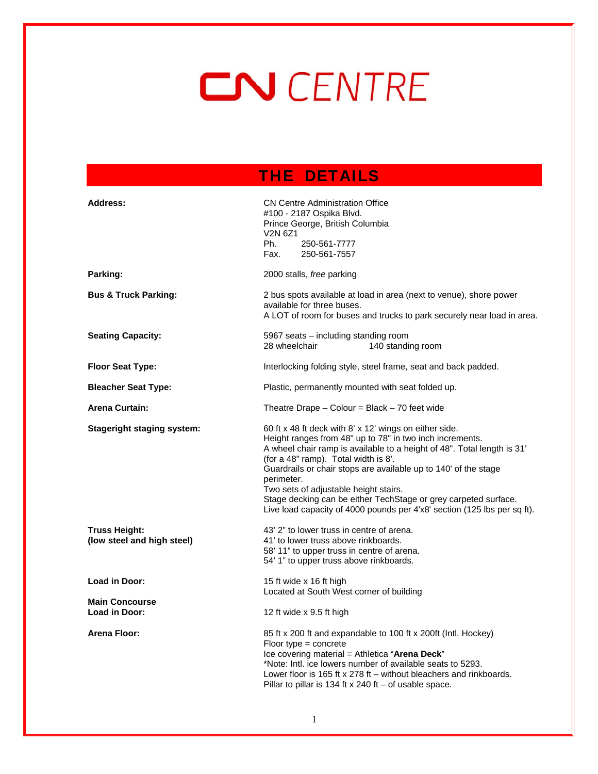# CN CENTRE

## THE DETAILS

| <b>Address:</b>                                    | <b>CN Centre Administration Office</b><br>#100 - 2187 Ospika Blvd.<br>Prince George, British Columbia<br>V <sub>2</sub> N 6Z <sub>1</sub><br>Ph.<br>250-561-7777<br>Fax.<br>250-561-7557                                                                                                                                                                                                                                                                                                                       |
|----------------------------------------------------|----------------------------------------------------------------------------------------------------------------------------------------------------------------------------------------------------------------------------------------------------------------------------------------------------------------------------------------------------------------------------------------------------------------------------------------------------------------------------------------------------------------|
| Parking:                                           | 2000 stalls, free parking                                                                                                                                                                                                                                                                                                                                                                                                                                                                                      |
| <b>Bus &amp; Truck Parking:</b>                    | 2 bus spots available at load in area (next to venue), shore power<br>available for three buses.<br>A LOT of room for buses and trucks to park securely near load in area.                                                                                                                                                                                                                                                                                                                                     |
| <b>Seating Capacity:</b>                           | 5967 seats - including standing room<br>28 wheelchair<br>140 standing room                                                                                                                                                                                                                                                                                                                                                                                                                                     |
| <b>Floor Seat Type:</b>                            | Interlocking folding style, steel frame, seat and back padded.                                                                                                                                                                                                                                                                                                                                                                                                                                                 |
| <b>Bleacher Seat Type:</b>                         | Plastic, permanently mounted with seat folded up.                                                                                                                                                                                                                                                                                                                                                                                                                                                              |
| <b>Arena Curtain:</b>                              | Theatre Drape $-$ Colour = Black $-$ 70 feet wide                                                                                                                                                                                                                                                                                                                                                                                                                                                              |
| <b>Stageright staging system:</b>                  | 60 ft x 48 ft deck with 8' x 12' wings on either side.<br>Height ranges from 48" up to 78" in two inch increments.<br>A wheel chair ramp is available to a height of 48". Total length is 31'<br>(for a 48" ramp). Total width is 8'.<br>Guardrails or chair stops are available up to 140' of the stage<br>perimeter.<br>Two sets of adjustable height stairs.<br>Stage decking can be either TechStage or grey carpeted surface.<br>Live load capacity of 4000 pounds per 4'x8' section (125 lbs per sq ft). |
| <b>Truss Height:</b><br>(low steel and high steel) | 43' 2" to lower truss in centre of arena.<br>41' to lower truss above rinkboards.<br>58' 11" to upper truss in centre of arena.<br>54' 1" to upper truss above rinkboards.                                                                                                                                                                                                                                                                                                                                     |
| Load in Door:                                      | 15 ft wide x 16 ft high<br>Located at South West corner of building                                                                                                                                                                                                                                                                                                                                                                                                                                            |
| <b>Main Concourse</b><br>Load in Door:             | 12 ft wide x 9.5 ft high                                                                                                                                                                                                                                                                                                                                                                                                                                                                                       |
| <b>Arena Floor:</b>                                | 85 ft x 200 ft and expandable to 100 ft x 200ft (Intl. Hockey)<br>Floor type $=$ concrete<br>Ice covering material = Athletica "Arena Deck"<br>*Note: Intl. ice lowers number of available seats to 5293.<br>Lower floor is 165 ft $\times$ 278 ft – without bleachers and rinkboards.<br>Pillar to pillar is 134 ft x 240 ft - of usable space.                                                                                                                                                               |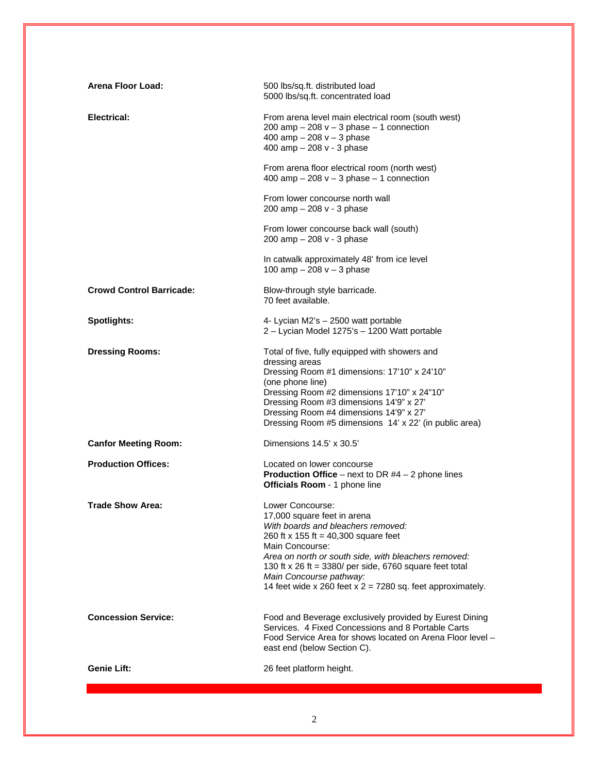| Arena Floor Load:               | 500 lbs/sq.ft. distributed load<br>5000 lbs/sq.ft. concentrated load                                                                                                                                                                                                                                                                                           |
|---------------------------------|----------------------------------------------------------------------------------------------------------------------------------------------------------------------------------------------------------------------------------------------------------------------------------------------------------------------------------------------------------------|
| Electrical:                     | From arena level main electrical room (south west)<br>200 amp $-$ 208 v $-$ 3 phase $-$ 1 connection<br>400 amp $-208v - 3$ phase<br>400 amp $-208v - 3$ phase                                                                                                                                                                                                 |
|                                 | From arena floor electrical room (north west)<br>400 amp $-208v - 3$ phase $-1$ connection                                                                                                                                                                                                                                                                     |
|                                 | From lower concourse north wall<br>200 amp $-$ 208 v - 3 phase                                                                                                                                                                                                                                                                                                 |
|                                 | From lower concourse back wall (south)<br>200 amp $-$ 208 v - 3 phase                                                                                                                                                                                                                                                                                          |
|                                 | In catwalk approximately 48' from ice level<br>100 amp $-208v - 3$ phase                                                                                                                                                                                                                                                                                       |
| <b>Crowd Control Barricade:</b> | Blow-through style barricade.<br>70 feet available.                                                                                                                                                                                                                                                                                                            |
| Spotlights:                     | 4- Lycian M2's - 2500 watt portable<br>2 - Lycian Model 1275's - 1200 Watt portable                                                                                                                                                                                                                                                                            |
| <b>Dressing Rooms:</b>          | Total of five, fully equipped with showers and<br>dressing areas<br>Dressing Room #1 dimensions: 17'10" x 24'10"<br>(one phone line)<br>Dressing Room #2 dimensions 17'10" x 24"10"<br>Dressing Room #3 dimensions 14'9" x 27'<br>Dressing Room #4 dimensions 14'9" x 27'<br>Dressing Room #5 dimensions 14' x 22' (in public area)                            |
| <b>Canfor Meeting Room:</b>     | Dimensions $14.5' \times 30.5'$                                                                                                                                                                                                                                                                                                                                |
| <b>Production Offices:</b>      | Located on lower concourse<br><b>Production Office</b> – next to DR $#4 - 2$ phone lines<br>Officials Room - 1 phone line                                                                                                                                                                                                                                      |
| <b>Trade Show Area:</b>         | Lower Concourse:<br>17,000 square feet in arena<br>With boards and bleachers removed:<br>260 ft x 155 ft = 40,300 square feet<br>Main Concourse:<br>Area on north or south side, with bleachers removed:<br>130 ft x 26 ft = 3380/ per side, 6760 square feet total<br>Main Concourse pathway:<br>14 feet wide x 260 feet x $2 = 7280$ sq. feet approximately. |
| <b>Concession Service:</b>      | Food and Beverage exclusively provided by Eurest Dining<br>Services. 4 Fixed Concessions and 8 Portable Carts<br>Food Service Area for shows located on Arena Floor level –<br>east end (below Section C).                                                                                                                                                     |
| Genie Lift:                     | 26 feet platform height.                                                                                                                                                                                                                                                                                                                                       |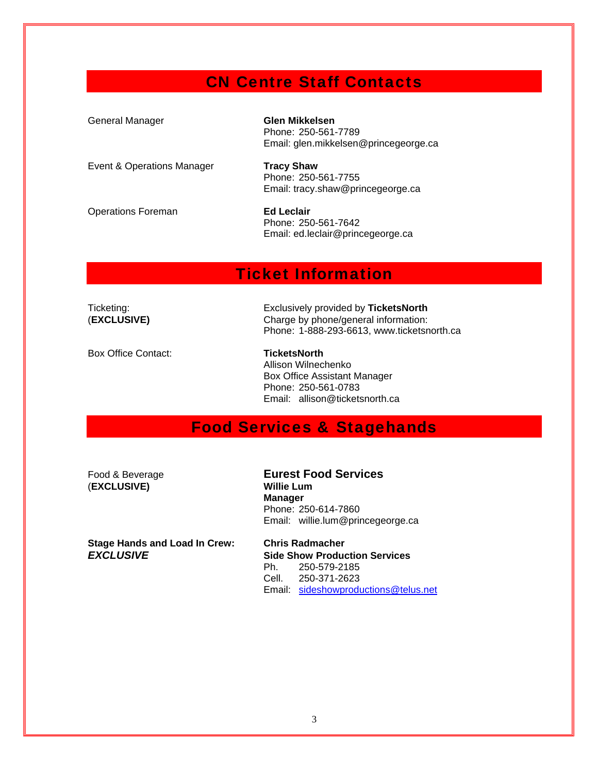### CN Centre Staff Contacts

| General Manager            | <b>Glen Mikkelsen</b><br>Phone: 250-561-7789<br>Email: glen.mikkelsen@princegeorge.ca |
|----------------------------|---------------------------------------------------------------------------------------|
| Event & Operations Manager | <b>Tracy Shaw</b><br>Phone: 250-561-7755<br>Email: tracy.shaw@princegeorge.ca         |
| <b>Operations Foreman</b>  | <b>Ed Leclair</b><br>Phone: 250-561-7642<br>Email: ed.leclair@princegeorge.ca         |

#### Ticket Information

Box Office Contact: **TicketsNorth** 

Ticketing: Exclusively provided by **TicketsNorth** (**EXCLUSIVE)** Charge by phone/general information: Phone: 1-888-293-6613, www.ticketsnorth.ca

> Allison Wilnechenko Box Office Assistant Manager Phone: 250-561-0783 Email: allison@ticketsnorth.ca

## Food Services & Stagehands

(**EXCLUSIVE) Willie Lum**

Food & Beverage **Eurest Food Services Manager**  Phone: 250-614-7860 Email: willie.lum@princegeorge.ca

**Stage Hands and Load In Crew: Chris Radmacher** 

*EXCLUSIVE* **Side Show Production Services** 250-579-2185 Cell. 250-371-2623 Email: sideshowproductions@telus.net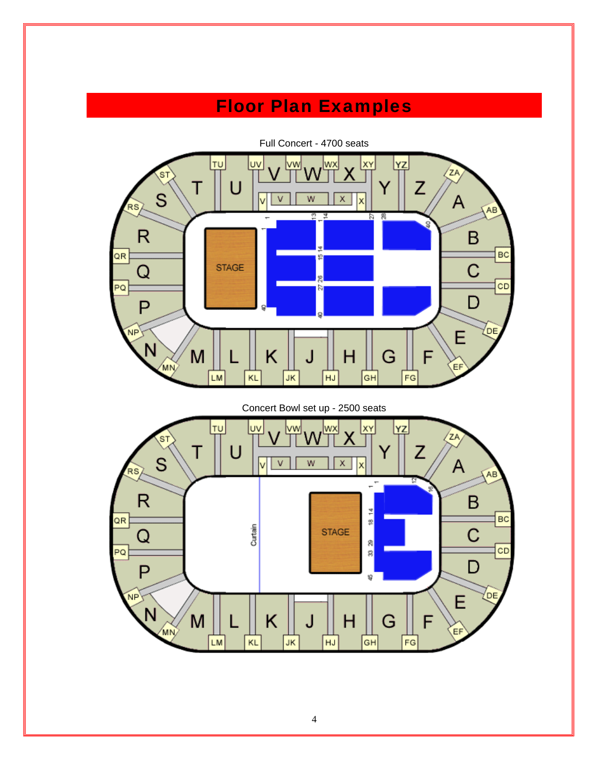